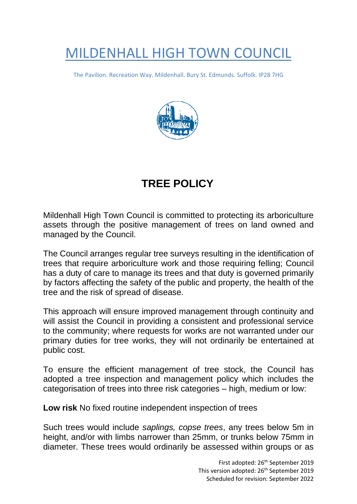## MILDENHALL HIGH TOWN COUNCIL

The Pavilion. Recreation Way. Mildenhall. Bury St. Edmunds. Suffolk. IP28 7HG



## **TREE POLICY**

Mildenhall High Town Council is committed to protecting its arboriculture assets through the positive management of trees on land owned and managed by the Council.

The Council arranges regular tree surveys resulting in the identification of trees that require arboriculture work and those requiring felling; Council has a duty of care to manage its trees and that duty is governed primarily by factors affecting the safety of the public and property, the health of the tree and the risk of spread of disease.

This approach will ensure improved management through continuity and will assist the Council in providing a consistent and professional service to the community; where requests for works are not warranted under our primary duties for tree works, they will not ordinarily be entertained at public cost.

To ensure the efficient management of tree stock, the Council has adopted a tree inspection and management policy which includes the categorisation of trees into three risk categories – high, medium or low:

**Low risk** No fixed routine independent inspection of trees

Such trees would include *saplings, copse trees*, any trees below 5m in height, and/or with limbs narrower than 25mm, or trunks below 75mm in diameter. These trees would ordinarily be assessed within groups or as